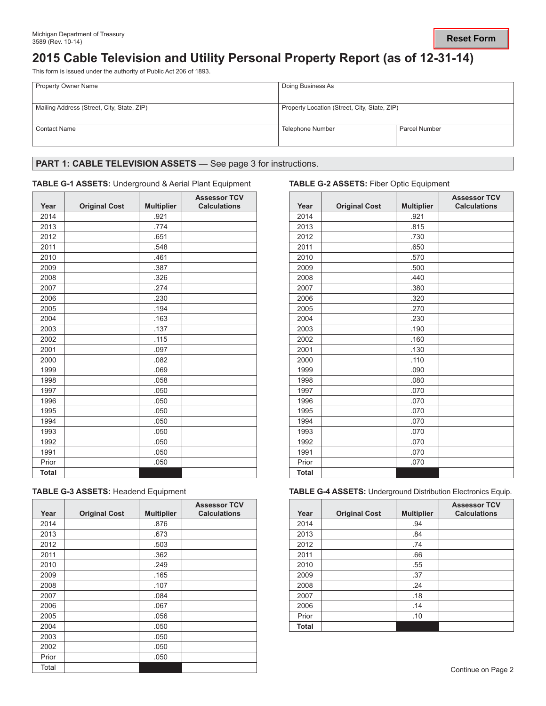### **Reset Form**

# **2015 Cable Television and Utility Personal Property Report (as of 12-31-14)**

This form is issued under the authority of Public Act 206 of 1893.

| <b>Property Owner Name</b>                 | Doing Business As                            |               |  |
|--------------------------------------------|----------------------------------------------|---------------|--|
| Mailing Address (Street, City, State, ZIP) | Property Location (Street, City, State, ZIP) |               |  |
| <b>Contact Name</b>                        | Telephone Number                             | Parcel Number |  |

# PART 1: CABLE TELEVISION ASSETS - See page 3 for instructions.

### **TABLE G-1 ASSETS:** Underground & Aerial Plant Equipment **TABLE G-2 ASSETS:** Fiber Optic Equipment

| Year         | <b>Original Cost</b> | <b>Multiplier</b> | <b>Assessor TCV</b><br><b>Calculations</b> | Year         | <b>Original Cost</b> | <b>Multipl</b> |
|--------------|----------------------|-------------------|--------------------------------------------|--------------|----------------------|----------------|
| 2014         |                      | .921              |                                            | 2014         |                      | .921           |
| 2013         |                      | .774              |                                            | 2013         |                      | .815           |
| 2012         |                      | .651              |                                            | 2012         |                      | .730           |
| 2011         |                      | .548              |                                            | 2011         |                      | .650           |
| 2010         |                      | .461              |                                            | 2010         |                      | .570           |
| 2009         |                      | .387              |                                            | 2009         |                      | .500           |
| 2008         |                      | .326              |                                            | 2008         |                      | .440           |
| 2007         |                      | .274              |                                            | 2007         |                      | .380           |
| 2006         |                      | .230              |                                            | 2006         |                      | .320           |
| 2005         |                      | .194              |                                            | 2005         |                      | .270           |
| 2004         |                      | .163              |                                            | 2004         |                      | .230           |
| 2003         |                      | .137              |                                            | 2003         |                      | .190           |
| 2002         |                      | .115              |                                            | 2002         |                      | .160           |
| 2001         |                      | .097              |                                            | 2001         |                      | .130           |
| 2000         |                      | .082              |                                            | 2000         |                      | .110           |
| 1999         |                      | .069              |                                            | 1999         |                      | .090           |
| 1998         |                      | .058              |                                            | 1998         |                      | .080           |
| 1997         |                      | .050              |                                            | 1997         |                      | .070           |
| 1996         |                      | .050              |                                            | 1996         |                      | .070           |
| 1995         |                      | .050              |                                            | 1995         |                      | .070           |
| 1994         |                      | .050              |                                            | 1994         |                      | .070           |
| 1993         |                      | .050              |                                            | 1993         |                      | .070           |
| 1992         |                      | .050              |                                            | 1992         |                      | .070           |
| 1991         |                      | .050              |                                            | 1991         |                      | .070           |
| Prior        |                      | .050              |                                            | Prior        |                      | .070           |
| <b>Total</b> |                      |                   |                                            | <b>Total</b> |                      |                |

| <b>TABLE G-3 ASSETS: Headend Equipment</b> |  |  |  |  |  |  |
|--------------------------------------------|--|--|--|--|--|--|
|--------------------------------------------|--|--|--|--|--|--|

| Year  | <b>Original Cost</b> | <b>Multiplier</b> | <b>Assessor TCV</b><br><b>Calculations</b> | Year         | <b>Original Cost</b> | <b>Multip</b> |
|-------|----------------------|-------------------|--------------------------------------------|--------------|----------------------|---------------|
| 2014  |                      | .876              |                                            | 2014         |                      | .94           |
| 2013  |                      | .673              |                                            | 2013         |                      | .84           |
| 2012  |                      | .503              |                                            | 2012         |                      | .74           |
| 2011  |                      | .362              |                                            | 2011         |                      | .66           |
| 2010  |                      | .249              |                                            | 2010         |                      | .55           |
| 2009  |                      | .165              |                                            | 2009         |                      | .37           |
| 2008  |                      | .107              |                                            | 2008         |                      | .24           |
| 2007  |                      | .084              |                                            | 2007         |                      | .18           |
| 2006  |                      | .067              |                                            | 2006         |                      | .14           |
| 2005  |                      | .056              |                                            | Prior        |                      | .10           |
| 2004  |                      | .050              |                                            | <b>Total</b> |                      |               |
| 2003  |                      | .050              |                                            |              |                      |               |
| 2002  |                      | .050              |                                            |              |                      |               |
| Prior |                      | .050              |                                            |              |                      |               |
| Total |                      |                   |                                            |              |                      |               |

| <b>Assessor TCV</b><br><b>Calculations</b> | Year         | <b>Original Cost</b> | <b>Multiplier</b> | <b>Assessor TCV</b><br><b>Calculations</b> |
|--------------------------------------------|--------------|----------------------|-------------------|--------------------------------------------|
|                                            | 2014         |                      | .921              |                                            |
|                                            | 2013         |                      | .815              |                                            |
|                                            | 2012         |                      | .730              |                                            |
|                                            | 2011         |                      | .650              |                                            |
|                                            | 2010         |                      | .570              |                                            |
|                                            | 2009         |                      | .500              |                                            |
|                                            | 2008         |                      | .440              |                                            |
|                                            | 2007         |                      | .380              |                                            |
|                                            | 2006         |                      | .320              |                                            |
|                                            | 2005         |                      | .270              |                                            |
|                                            | 2004         |                      | .230              |                                            |
|                                            | 2003         |                      | .190              |                                            |
|                                            | 2002         |                      | .160              |                                            |
|                                            | 2001         |                      | .130              |                                            |
|                                            | 2000         |                      | .110              |                                            |
|                                            | 1999         |                      | .090              |                                            |
|                                            | 1998         |                      | .080              |                                            |
|                                            | 1997         |                      | .070              |                                            |
|                                            | 1996         |                      | .070              |                                            |
|                                            | 1995         |                      | .070              |                                            |
|                                            | 1994         |                      | .070              |                                            |
|                                            | 1993         |                      | .070              |                                            |
|                                            | 1992         |                      | .070              |                                            |
|                                            | 1991         |                      | .070              |                                            |
|                                            | Prior        |                      | .070              |                                            |
|                                            | <b>Total</b> |                      |                   |                                            |

**TABLE G-4 ASSETS: Underground Distribution Electronics Equip.** 

| <b>Assessor TCV</b><br><b>Calculations</b> | Year         | <b>Original Cost</b> | <b>Multiplier</b> | <b>Assessor TCV</b><br><b>Calculations</b> |
|--------------------------------------------|--------------|----------------------|-------------------|--------------------------------------------|
|                                            | 2014         |                      | .94               |                                            |
|                                            | 2013         |                      | .84               |                                            |
|                                            | 2012         |                      | .74               |                                            |
|                                            | 2011         |                      | .66               |                                            |
|                                            | 2010         |                      | .55               |                                            |
|                                            | 2009         |                      | .37               |                                            |
|                                            | 2008         |                      | .24               |                                            |
|                                            | 2007         |                      | .18               |                                            |
|                                            | 2006         |                      | .14               |                                            |
|                                            | Prior        |                      | .10               |                                            |
|                                            | <b>Total</b> |                      |                   |                                            |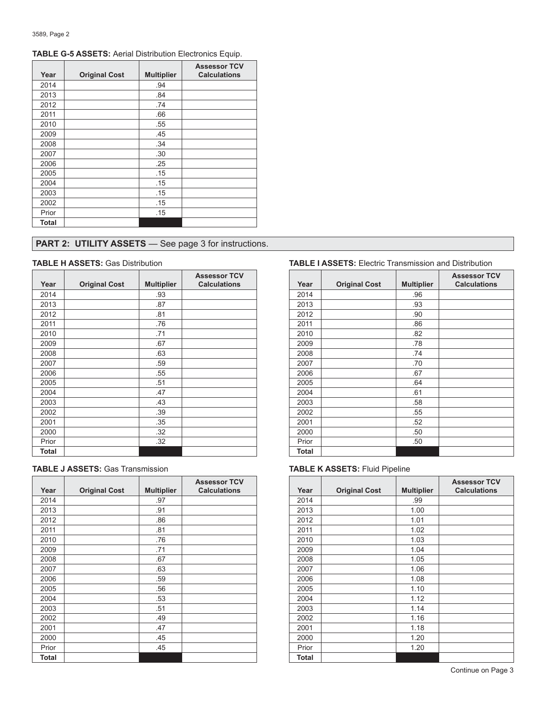| Year  | <b>Original Cost</b> | <b>Multiplier</b> | <b>Assessor TCV</b><br><b>Calculations</b> |
|-------|----------------------|-------------------|--------------------------------------------|
| 2014  |                      | .94               |                                            |
| 2013  |                      | .84               |                                            |
| 2012  |                      | .74               |                                            |
| 2011  |                      | .66               |                                            |
| 2010  |                      | .55               |                                            |
| 2009  |                      | .45               |                                            |
| 2008  |                      | .34               |                                            |
| 2007  |                      | .30               |                                            |
| 2006  |                      | .25               |                                            |
| 2005  |                      | .15               |                                            |
| 2004  |                      | .15               |                                            |
| 2003  |                      | .15               |                                            |
| 2002  |                      | .15               |                                            |
| Prior |                      | .15               |                                            |
| Total |                      |                   |                                            |

### **TABLE G-5 ASSETS:** Aerial Distribution Electronics Equip.

# **PART 2: UTILITY ASSETS** - See page 3 for instructions.

| Year  | <b>Original Cost</b> | <b>Multiplier</b> | <b>Assessor TCV</b><br><b>Calculations</b> | Year         | <b>Original Cost</b> | <b>Multip</b> |
|-------|----------------------|-------------------|--------------------------------------------|--------------|----------------------|---------------|
| 2014  |                      | .93               |                                            | 2014         |                      | .96           |
| 2013  |                      | .87               |                                            | 2013         |                      | .93           |
| 2012  |                      | .81               |                                            | 2012         |                      | .90           |
| 2011  |                      | .76               |                                            | 2011         |                      | .86           |
| 2010  |                      | .71               |                                            | 2010         |                      | .82           |
| 2009  |                      | .67               |                                            | 2009         |                      | .78           |
| 2008  |                      | .63               |                                            | 2008         |                      | .74           |
| 2007  |                      | .59               |                                            | 2007         |                      | .70           |
| 2006  |                      | .55               |                                            | 2006         |                      | .67           |
| 2005  |                      | .51               |                                            | 2005         |                      | .64           |
| 2004  |                      | .47               |                                            | 2004         |                      | .61           |
| 2003  |                      | .43               |                                            | 2003         |                      | .58           |
| 2002  |                      | .39               |                                            | 2002         |                      | .55           |
| 2001  |                      | .35               |                                            | 2001         |                      | .52           |
| 2000  |                      | .32               |                                            | 2000         |                      | .50           |
| Prior |                      | .32               |                                            | Prior        |                      | .50           |
| Total |                      |                   |                                            | <b>Total</b> |                      |               |

|       |                      |                   | <b>Assessor TCV</b> |              |                      |                |
|-------|----------------------|-------------------|---------------------|--------------|----------------------|----------------|
| Year  | <b>Original Cost</b> | <b>Multiplier</b> | <b>Calculations</b> | Year         | <b>Original Cost</b> | <b>Multipl</b> |
| 2014  |                      | .97               |                     | 2014         |                      | .99            |
| 2013  |                      | .91               |                     | 2013         |                      | 1.00           |
| 2012  |                      | .86               |                     | 2012         |                      | 1.01           |
| 2011  |                      | .81               |                     | 2011         |                      | 1.02           |
| 2010  |                      | .76               |                     | 2010         |                      | 1.03           |
| 2009  |                      | .71               |                     | 2009         |                      | 1.04           |
| 2008  |                      | .67               |                     | 2008         |                      | 1.05           |
| 2007  |                      | .63               |                     | 2007         |                      | 1.06           |
| 2006  |                      | .59               |                     | 2006         |                      | 1.08           |
| 2005  |                      | .56               |                     | 2005         |                      | 1.10           |
| 2004  |                      | .53               |                     | 2004         |                      | 1.12           |
| 2003  |                      | .51               |                     | 2003         |                      | 1.14           |
| 2002  |                      | .49               |                     | 2002         |                      | 1.16           |
| 2001  |                      | .47               |                     | 2001         |                      | 1.18           |
| 2000  |                      | .45               |                     | 2000         |                      | 1.20           |
| Prior |                      | .45               |                     | Prior        |                      | 1.20           |
| Total |                      |                   |                     | <b>Total</b> |                      |                |

### **TABLE H ASSETS:** Gas Distribution **TABLE I ASSETS:** Electric Transmission and Distribution

| <b>Assessor TCV</b><br><b>Calculations</b> | Year         | <b>Original Cost</b> | <b>Multiplier</b> | <b>Assessor TCV</b><br><b>Calculations</b> |
|--------------------------------------------|--------------|----------------------|-------------------|--------------------------------------------|
|                                            | 2014         |                      | .96               |                                            |
|                                            | 2013         |                      | .93               |                                            |
|                                            | 2012         |                      | .90               |                                            |
|                                            | 2011         |                      | .86               |                                            |
|                                            | 2010         |                      | .82               |                                            |
|                                            | 2009         |                      | .78               |                                            |
|                                            | 2008         |                      | .74               |                                            |
|                                            | 2007         |                      | .70               |                                            |
|                                            | 2006         |                      | .67               |                                            |
|                                            | 2005         |                      | .64               |                                            |
|                                            | 2004         |                      | .61               |                                            |
|                                            | 2003         |                      | .58               |                                            |
|                                            | 2002         |                      | .55               |                                            |
|                                            | 2001         |                      | .52               |                                            |
|                                            | 2000         |                      | .50               |                                            |
|                                            | Prior        |                      | .50               |                                            |
|                                            | <b>Total</b> |                      |                   |                                            |

### **TABLE K ASSETS: Fluid Pipeline**

| <b>Assessor TCV</b><br><b>Calculations</b> | Year  | <b>Original Cost</b> | <b>Multiplier</b> | <b>Assessor TCV</b><br><b>Calculations</b> |
|--------------------------------------------|-------|----------------------|-------------------|--------------------------------------------|
|                                            | 2014  |                      | .99               |                                            |
|                                            | 2013  |                      | 1.00              |                                            |
|                                            | 2012  |                      | 1.01              |                                            |
|                                            | 2011  |                      | 1.02              |                                            |
|                                            | 2010  |                      | 1.03              |                                            |
|                                            | 2009  |                      | 1.04              |                                            |
|                                            | 2008  |                      | 1.05              |                                            |
|                                            | 2007  |                      | 1.06              |                                            |
|                                            | 2006  |                      | 1.08              |                                            |
|                                            | 2005  |                      | 1.10              |                                            |
|                                            | 2004  |                      | 1.12              |                                            |
|                                            | 2003  |                      | 1.14              |                                            |
|                                            | 2002  |                      | 1.16              |                                            |
|                                            | 2001  |                      | 1.18              |                                            |
|                                            | 2000  |                      | 1.20              |                                            |
|                                            | Prior |                      | 1.20              |                                            |
|                                            | Total |                      |                   |                                            |